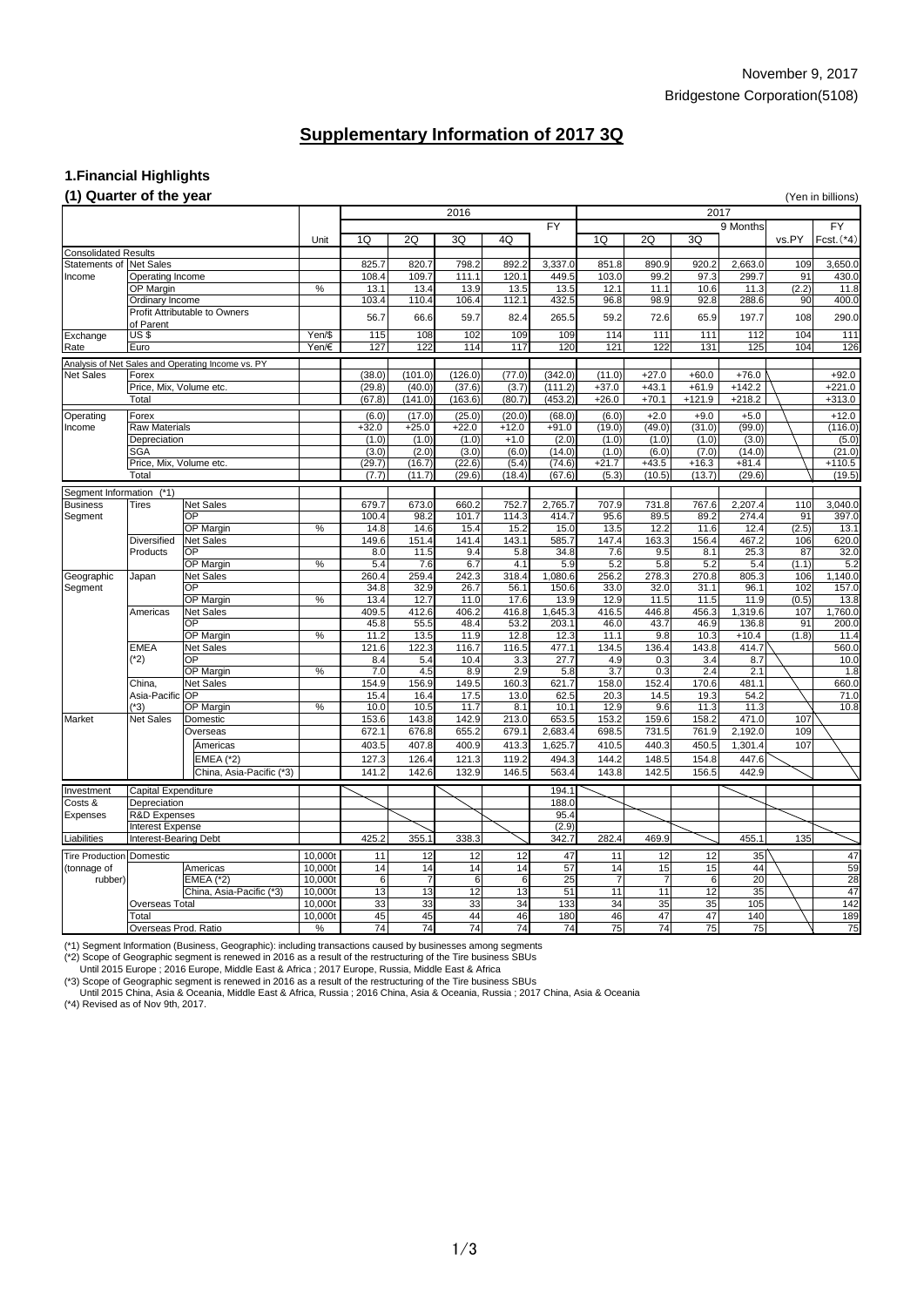## November 9, 2017 Bridgestone Corporation(5108)

### **1.Financial Highlights**

#### **(1) Quarter of the year** (Yen in billions)

| $(1)$ when $(0)$ of the $j$ our |                         |                                                   |        |         |         |         |         |           |         |         |          |          |       | $\mathbf{u}$ |
|---------------------------------|-------------------------|---------------------------------------------------|--------|---------|---------|---------|---------|-----------|---------|---------|----------|----------|-------|--------------|
|                                 |                         |                                                   |        | 2016    |         |         |         | 2017      |         |         |          |          |       |              |
|                                 |                         |                                                   |        |         |         |         |         | <b>FY</b> |         |         |          | 9 Months |       | FY           |
|                                 |                         |                                                   | Unit   | 1Q      | 2Q      | 3Q      | 4Q      |           | 1Q      | 2Q      | 3Q       |          | vs.PY | $Fcst.$ (*4) |
| <b>Consolidated Results</b>     |                         |                                                   |        |         |         |         |         |           |         |         |          |          |       |              |
| Statements of Net Sales         |                         |                                                   |        | 825.7   | 820.7   | 798.2   | 892.2   | 3,337.0   | 851.8   | 890.9   | 920.2    | 2,663.0  | 109   | 3,650.0      |
| Income                          | <b>Operating Income</b> |                                                   |        | 108.4   | 109.7   | 111.1   | 120.1   | 449.5     | 103.0   | 99.2    | 97.3     | 299.7    | 91    | 430.0        |
|                                 | OP Margin               |                                                   | $\%$   | 13.1    | 13.4    | 13.9    | 13.5    | 13.5      | 12.1    | 11.1    | 10.6     | 11.3     | (2.2) | 11.8         |
|                                 | Ordinary Income         |                                                   |        | 103.4   | 110.4   | 106.4   | 112.1   | 432.5     | 96.8    | 98.9    | 92.8     | 288.6    | 90    | 400.0        |
|                                 |                         | <b>Profit Attributable to Owners</b>              |        |         |         |         |         |           |         |         |          |          |       |              |
|                                 | of Parent               |                                                   |        | 56.7    | 66.6    | 59.7    | 82.4    | 265.5     | 59.2    | 72.6    | 65.9     | 197.7    | 108   | 290.0        |
| Exchange                        | US\$                    |                                                   | Yen/\$ | 115     | 108     | 102     | 109     | 109       | 114     | 111     | 111      | 112      | 104   | 111          |
| Rate                            | Euro                    |                                                   | Yen/€  | 127     | 122     | 114     | 117     | 120       | 121     | 122     | 131      | 125      | 104   | 126          |
|                                 |                         |                                                   |        |         |         |         |         |           |         |         |          |          |       |              |
|                                 |                         | Analysis of Net Sales and Operating Income vs. PY |        |         |         |         |         |           |         |         |          |          |       |              |
| <b>Net Sales</b>                | Forex                   |                                                   |        | (38.0)  | (101.0) | (126.0) | (77.0)  | (342.0)   | (11.0)  | $+27.0$ | $+60.0$  | $+76.0$  |       | $+92.0$      |
|                                 | Price, Mix, Volume etc. |                                                   |        | (29.8)  | (40.0)  | (37.6)  | (3.7)   | (111.2)   | $+37.0$ | $+43.1$ | $+61.9$  | $+142.2$ |       | $+221.0$     |
|                                 | Total                   |                                                   |        | (67.8)  | (141.0) | (163.6) | (80.7)  | (453.2)   | $+26.0$ | $+70.1$ | $+121.9$ | $+218.2$ |       | $+313.0$     |
| Operating                       | Forex                   |                                                   |        | (6.0)   | (17.0)  | (25.0)  | (20.0)  | (68.0)    | (6.0)   | $+2.0$  | $+9.0$   | $+5.0$   |       | $+12.0$      |
| Income                          | <b>Raw Materials</b>    |                                                   |        | $+32.0$ | $+25.0$ | $+22.0$ | $+12.0$ | $+91.0$   | (19.0)  | (49.0)  | (31.0)   | (99.0)   |       | (116.0)      |
|                                 | Depreciation            |                                                   |        | (1.0)   | (1.0)   | (1.0)   | $+1.0$  | (2.0)     | (1.0)   | (1.0)   | (1.0)    | (3.0)    |       | (5.0)        |
|                                 | <b>SGA</b>              |                                                   |        | (3.0)   | (2.0)   | (3.0)   | (6.0)   | (14.0)    | (1.0)   | (6.0)   | (7.0)    | (14.0)   |       | (21.0)       |
|                                 | Price, Mix, Volume etc. |                                                   |        | (29.7)  | (16.7)  | (22.6)  | (5.4)   | (74.6)    | $+21.7$ | $+43.5$ | $+16.3$  | $+81.4$  |       | $+110.5$     |
|                                 | Total                   |                                                   |        | (7.7)   | (11.7)  | (29.6)  | (18.4)  | (67.6)    | (5.3)   | (10.5)  | (13.7)   | (29.6)   |       | (19.5)       |
| Segment Information $(*)$       |                         |                                                   |        |         |         |         |         |           |         |         |          |          |       |              |
| <b>Business</b>                 | Tires                   | Net Sales                                         |        | 679.7   | 673.0   | 660.2   | 752.7   | 2,765.7   | 707.9   | 731.8   | 767.6    | 2,207.4  | 110   | 3,040.0      |
| Segment                         |                         | <b>OP</b>                                         |        | 100.4   | 98.2    | 101.7   | 114.3   | 414.7     | 95.6    | 89.5    | 89.2     | 274.4    | 91    | 397.0        |
|                                 |                         | OP Margin                                         | $\%$   | 14.8    | 14.6    | 15.4    | 15.2    | 15.0      | 13.5    | 12.2    | 11.6     | 12.4     | (2.5) | 13.1         |
|                                 | <b>Diversified</b>      | Net Sales                                         |        | 149.6   | 151.4   | 141.4   | 143.1   | 585.7     | 147.4   | 163.3   | 156.4    | 467.2    | 106   | 620.0        |
|                                 | Products                | OP                                                |        | 8.0     | 11.5    | 9.4     | 5.8     | 34.8      | 7.6     | 9.5     | 8.1      | 25.3     | 87    | 32.0         |
|                                 |                         | <b>OP Margin</b>                                  | $\%$   | 5.4     | 7.6     | 6.7     | 4.1     | 5.9       | 5.2     | 5.8     | 5.2      | 5.4      | (1.1) | 5.2          |
| Geographic                      | Japan                   | <b>Net Sales</b>                                  |        | 260.4   | 259.4   | 242.3   | 318.4   | 1,080.6   | 256.2   | 278.3   | 270.8    | 805.3    | 106   | 1,140.0      |
| Segment                         |                         | OP                                                |        | 34.8    | 32.9    | 26.7    | 56.1    | 150.6     | 33.0    | 32.0    | 31.1     | 96.1     | 102   | 157.0        |
|                                 |                         | OP Margin                                         | %      | 13.4    | 12.7    | 11.0    | 17.6    | 13.9      | 12.9    | 11.5    | 11.5     | 11.9     | (0.5) | 13.8         |
|                                 | Americas                | Net Sales                                         |        | 409.5   | 412.6   | 406.2   | 416.8   | 1,645.3   | 416.5   | 446.8   | 456.3    | 1,319.6  | 107   | 1,760.0      |
|                                 |                         | OP                                                |        | 45.8    | 55.5    | 48.4    | 53.2    | 203.1     | 46.0    | 43.7    | 46.9     | 136.8    | 91    | 200.0        |
|                                 |                         | <b>OP Margin</b>                                  | $\%$   | 11.2    | $13.5$  | 11.9    | 12.8    | 12.3      | 11.1    | 9.8     | 10.3     | $+10.4$  | (1.8) | 11.4         |
|                                 | <b>EMEA</b>             | Net Sales                                         |        | 121.6   | 122.3   | 116.7   | 116.5   | 477.1     | 134.5   | 136.4   | 143.8    | 414.7    |       | 560.0        |
|                                 | $(*2)$                  | <b>OP</b>                                         |        | 8.4     | 5.4     | 10.4    | 3.3     | 27.7      | 4.9     | 0.3     | 3.4      | 8.7      |       | 10.0         |
|                                 |                         | <b>OP Margin</b>                                  | $\%$   | 7.0     | 4.5     | 8.9     | 2.9     | 5.8       | 3.7     | 0.3     | 2.4      | 2.1      |       | 1.8          |
|                                 | China,                  | Net Sales                                         |        | 154.9   | 156.9   | 149.5   | 160.3   | 621.7     | 158.0   | 152.4   | 170.6    | 481.1    |       | 660.0        |
|                                 | Asia-Pacific OP         |                                                   |        | 15.4    | 16.4    | 17.5    | 13.0    | 62.5      | 20.3    | 14.5    | 19.3     | 54.2     |       | 71.0         |
|                                 | $(*3)$                  | <b>OP Margin</b>                                  | $\%$   | 10.0    | 10.5    | 11.7    | 8.1     | 10.1      | 12.9    | 9.6     | 11.3     | 11.3     |       | 10.8         |
| Market                          | <b>Net Sales</b>        | Domestic                                          |        | 153.6   | 143.8   | 142.9   | 213.0   | 653.5     | 153.2   | 159.6   | 158.2    | 471.0    | 107   |              |
|                                 |                         | Overseas                                          |        | 672.1   | 676.8   | 655.2   | 679.1   | 2,683.4   | 698.5   | 731.5   | 761.9    | 2,192.0  | 109   |              |
|                                 |                         | Americas                                          |        | 403.5   | 407.8   | 400.9   | 413.3   | 1,625.7   | 410.5   | 440.3   | 450.5    | 1,301.4  | 107   |              |
|                                 |                         |                                                   |        | 127.3   | 126.4   | 121.3   | 119.2   | 494.3     | 144.2   | 148.5   | 154.8    | 447.6    |       |              |
|                                 |                         | <b>EMEA (*2)</b>                                  |        |         |         |         |         |           |         |         |          |          |       |              |
|                                 |                         | China, Asia-Pacific (*3)                          |        | 141.2   | 142.6   | 132.9   | 146.5   | 563.4     | 143.8   | 142.5   | 156.5    | 442.9    |       |              |

Investment Capital Expenditure 194.1 194.1 194.1 194.1

| Costs &                         | Depreciation            |                          |         |       |       |       |    | 188.0            |                 |                 |     |                  |     |     |
|---------------------------------|-------------------------|--------------------------|---------|-------|-------|-------|----|------------------|-----------------|-----------------|-----|------------------|-----|-----|
| Expenses                        | <b>R&amp;D</b> Expenses |                          |         |       |       |       |    | 95.4             |                 |                 |     |                  |     |     |
|                                 | Interest Expense        |                          |         |       |       |       |    | (2.9)            |                 |                 |     |                  |     |     |
| Liabilities                     | Interest-Bearing Debt   |                          |         | 425.2 | 355.1 | 338.3 |    | 342.7            | 282.4           | 469.9           |     | 455.1            | 135 |     |
| <b>Tire Production Domestic</b> |                         | 10,000t                  |         | 12.   |       |       | 47 | 11               | 12 <sub>l</sub> |                 | 35  |                  | 47  |     |
| (tonnage of                     |                         | Americas                 | 10,000t | 14    | 14    |       |    | 57               | 14।             | 15 <sub>l</sub> |     | 44               |     | 59  |
| rubber)                         |                         | $EMEA$ (*2)              | 10,000t | 6     |       |       |    | 25               |                 |                 |     | 20               |     | 28  |
|                                 |                         | China, Asia-Pacific (*3) | 10,000t | 13    | 13    | 10    |    | 51               | 11              | -11             | ィっ  | 35               |     | 47  |
|                                 | <b>Overseas Total</b>   |                          | 10,000t | 33    | 33    | 33    | 34 | 133 <sub>l</sub> | 34              | 35 <sub>l</sub> | 35  | 105              |     | 142 |
|                                 | Total                   |                          | 10,000t | 45    | 45    | 44    | 46 | 180              | 46              | 47              | 47  | 140 <sup>1</sup> |     | 189 |
|                                 | Overseas Prod. Ratio    |                          | %       | 741   | 74    | 74    |    | 74 <sub>1</sub>  | 75              | 74              | 75. | 75               |     | 75  |

(\*1) Segment Information (Business, Geographic): including transactions caused by businesses among segments

(\*2) Scope of Geographic segment is renewed in 2016 as a result of the restructuring of the Tire business SBUs

Until 2015 Europe ; 2016 Europe, Middle East & Africa ; 2017 Europe, Russia, Middle East & Africa

(\*3) Scope of Geographic segment is renewed in 2016 as a result of the restructuring of the Tire business SBUs

Until 2015 China, Asia & Oceania, Middle East & Africa, Russia ; 2016 China, Asia & Oceania, Russia ; 2017 China, Asia & Oceania

(\*4) Revised as of Nov 9th, 2017.

# **Supplementary Information of 2017 3Q**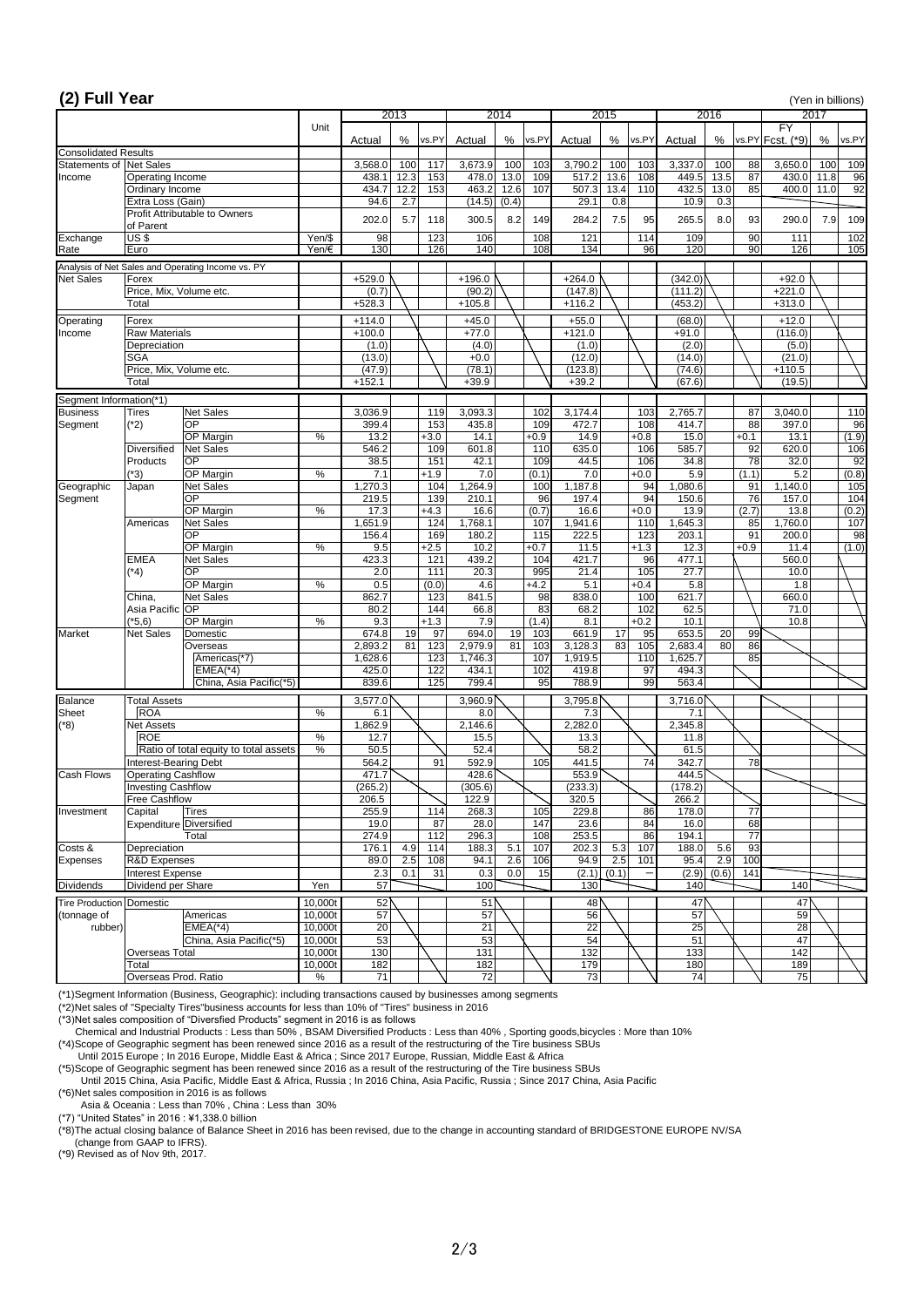| (2) Full Year                                |                                             |                                                   |                    |                    |             |                  |                    |                   |              |                           |              |               |                    |                  |                 |                                     |             | (Yen in billions) |
|----------------------------------------------|---------------------------------------------|---------------------------------------------------|--------------------|--------------------|-------------|------------------|--------------------|-------------------|--------------|---------------------------|--------------|---------------|--------------------|------------------|-----------------|-------------------------------------|-------------|-------------------|
|                                              |                                             |                                                   |                    |                    | 2013        |                  |                    | $\overline{2014}$ |              |                           | 2015         |               |                    | 2016             |                 |                                     | 2017        |                   |
|                                              |                                             |                                                   | Unit               | Actual             | %           | vs.PY            | Actual             | %                 | vs.PY        | Actual                    | %            | vs.PY         | Actual             | %                |                 | $\overline{FY}$<br>vs.PY Fcst. (*9) | %           | vs.PY             |
| <b>Consolidated Results</b><br>Statements of |                                             |                                                   |                    |                    |             |                  |                    |                   |              |                           |              |               |                    |                  |                 |                                     |             |                   |
| Income                                       | <b>Net Sales</b><br><b>Operating Income</b> |                                                   |                    | 3,568.0<br>438.1   | 100<br>12.3 | 117<br>153       | 3,673.9<br>478.0   | 100<br>13.0       | 103<br>109   | 3,790.2<br>517.2          | 100<br>13.6  | 103<br>108    | 3,337.0<br>449.5   | 100<br>13.5      | 88<br>87        | 3,650.0<br>430.0                    | 100<br>11.8 | 109<br>96         |
|                                              | Ordinary Income                             |                                                   |                    | 434.7              | 12.2        | 153              | 463.2              | 12.6              | 107          | 507.3                     | 13.4         | 110           | 432.5              | 13.0             | 85              | 400.0                               | 11.0        | 92                |
|                                              | Extra Loss (Gain)                           |                                                   |                    | 94.6               | 2.7         |                  | (14.5)             | (0.4)             |              | 29.1                      | 0.8          |               | 10.9               | $\overline{0.3}$ |                 |                                     |             |                   |
|                                              |                                             | <b>Profit Attributable to Owners</b>              |                    | 202.0              | 5.7         | 118              | 300.5              | 8.2               | 149          | 284.2                     | 7.5          | 95            | 265.5              | 8.0              | 93              | 290.0                               | 7.9         | 109               |
|                                              | of Parent                                   |                                                   |                    |                    |             |                  |                    |                   |              |                           |              |               |                    |                  |                 |                                     |             |                   |
| Exchange<br>Rate                             | US <sub>5</sub><br>Euro                     |                                                   | Yen/\$<br>Yen/€    | 98<br>130          |             | 123<br>126       | 106<br>140         |                   | 108<br>108   | 121<br>134                |              | 114<br>96     | 109<br>120         |                  | 90<br>90        | 111<br>126                          |             | 102<br>105        |
|                                              |                                             | Analysis of Net Sales and Operating Income vs. PY |                    |                    |             |                  |                    |                   |              |                           |              |               |                    |                  |                 |                                     |             |                   |
| <b>Net Sales</b>                             | Forex                                       |                                                   |                    | $+529.0$           |             |                  | $+196.0$           |                   |              | $+264.0$                  |              |               | (342.0)            |                  |                 | $+92.0$                             |             |                   |
|                                              | Price, Mix, Volume etc.                     |                                                   |                    | (0.7)              |             |                  | (90.2)             |                   |              | (147.8)                   |              |               | (111.2)            |                  |                 | $+221.0$                            |             |                   |
|                                              | Total                                       |                                                   |                    | $+528.3$           |             |                  | $+105.8$           |                   |              | $+116.2$                  |              |               | (453.2)            |                  |                 | $+313.0$                            |             |                   |
| Operating                                    | Forex                                       |                                                   |                    | $+114.0$           |             |                  | $+45.0$            |                   |              | $+55.0$                   |              |               | (68.0)             |                  |                 | $+12.0$                             |             |                   |
| Income                                       | <b>Raw Materials</b>                        |                                                   |                    | $+100.0$           |             |                  | $+77.0$            |                   |              | $+121.0$                  |              |               | $+91.0$            |                  |                 | (116.0)                             |             |                   |
|                                              | Depreciation<br><b>SGA</b>                  |                                                   |                    | (1.0)<br>(13.0)    |             |                  | (4.0)<br>$+0.0$    |                   |              | (1.0)<br>(12.0)           |              |               | (2.0)<br>(14.0)    |                  |                 | (5.0)<br>(21.0)                     |             |                   |
|                                              | Price, Mix, Volume etc.                     |                                                   |                    | (47.9)             |             |                  | (78.1)             |                   |              | (123.8)                   |              |               | (74.6)             |                  |                 | $+110.5$                            |             |                   |
|                                              | Total                                       |                                                   |                    | $+152.1$           |             |                  | $+39.9$            |                   |              | $+39.2$                   |              |               | (67.6)             |                  |                 | (19.5)                              |             |                   |
| Segment Information(*1)                      |                                             |                                                   |                    |                    |             |                  |                    |                   |              |                           |              |               |                    |                  |                 |                                     |             |                   |
| <b>Business</b>                              | Tires                                       | Net Sales                                         |                    | 3,036.9            |             | 119              | 3,093.3            |                   | 102          | 3,174.4                   |              | 103           | 2,765.7            |                  | 87              | 3,040.0                             |             | 110               |
| Segment                                      | $(*2)$                                      | <b>OP</b>                                         |                    | 399.4              |             | 153              | 435.8              |                   | 109          | 472.7                     |              | 108           | 414.7              |                  | 88              | 397.0                               |             | 96                |
|                                              |                                             | OP Margin                                         | $\%$               | 13.2               |             | $+3.0$           | 14.1               |                   | $+0.9$       | 14.9                      |              | $+0.8$        | 15.0               |                  | $+0.1$          | 13.1                                |             | (1.9)             |
|                                              | <b>Diversified</b><br>Products              | Net Sales<br><b>OP</b>                            |                    | 546.2<br>38.5      |             | 109<br>151       | 601.8<br>42.1      |                   | 110<br>109   | 635.0<br>44.5             |              | 106<br>106    | 585.7<br>34.8      |                  | 92<br>78        | 620.0<br>32.0                       |             | 106<br>92         |
|                                              | $(*3)$                                      | OP Margin                                         | $\%$               | 7.1                |             | $+1.9$           | 7.0                |                   | (0.1)        | 7.0                       |              | $+0.0$        | 5.9                |                  | (1.1)           | 5.2                                 |             | (0.8)             |
| Geographic                                   | Japan                                       | <b>Net Sales</b>                                  |                    | 1,270.3            |             | 104              | ,264.9             |                   | 100          | 1,187.8                   |              | 94            | 1,080.6            |                  | 91              | 1,140.0                             |             | 105               |
| Segment                                      |                                             | <b>OP</b>                                         |                    | 219.5              |             | 139              | 210.1              |                   | 96           | 197.4                     |              | 94            | 150.6              |                  | 76              | 157.0                               |             | 104               |
|                                              | Americas                                    | OP Margin                                         | %                  | 17.3               |             | $+4.3$           | 16.6               |                   | (0.7)        | 16.6                      |              | $+0.0$        | 13.9               |                  | (2.7)           | 13.8                                |             | (0.2)             |
|                                              |                                             | Net Sales<br> OP                                  |                    | 1,651.9<br>156.4   |             | 124<br>169       | 1,768.1<br>180.2   |                   | 107<br>115   | 1,941.6<br>222.5          |              | 110<br>123    | 1,645.3<br>203.1   |                  | 85<br>91        | 1,760.0<br>200.0                    |             | 107<br>98         |
|                                              |                                             | <b>OP Margin</b>                                  | $\%$               | 9.5                |             | $+2.5$           | 10.2               |                   | $+0.7$       | 11.5                      |              | $+1.3$        | 12.3               |                  | $+0.9$          | 11.4                                |             | (1.0)             |
|                                              | <b>EMEA</b>                                 | <b>Net Sales</b>                                  |                    | 423.3              |             | 121              | 439.2              |                   | 104          | 421.7                     |              | 96            | 477.1              |                  |                 | 560.0                               |             |                   |
|                                              | $(*4)$                                      | OP                                                |                    | 2.0                |             | 111              | 20.3               |                   | 995          | 21.4                      |              | 105           | 27.7               |                  |                 | 10.0                                |             |                   |
|                                              | China,                                      | OP Margin<br><b>Net Sales</b>                     | $\%$               | 0.5<br>862.7       |             | (0.0)<br>123     | 4.6<br>841.5       |                   | $+4.2$<br>98 | $\overline{5.1}$<br>838.0 |              | $+0.4$<br>100 | 5.8<br>621.7       |                  |                 | 1.8<br>660.0                        |             |                   |
|                                              | Asia Pacific OP                             |                                                   |                    | 80.2               |             | 144              | 66.8               |                   | အ            | 68.2                      |              | 102           | 62.5               |                  |                 | 71.0                                |             |                   |
|                                              | $(*5,6)$                                    | OP Margin                                         | $\%$               | 9.3                |             | $+1.3$           | 7.9                |                   | (1.4)        | 8.1                       |              | $+0.2$        | 10.1               |                  |                 | 10.8                                |             |                   |
| Market                                       | <b>Net Sales</b>                            | Domestic                                          |                    | 674.8              | 19          | 97               | 694.0              | 19                | 103          | 661.9                     | 17           | 95            | 653.5              | 20               | 99              |                                     |             |                   |
|                                              |                                             | Overseas<br>Americas(*7)                          |                    | 2,893.2<br>1,628.6 | 81          | 123<br>123       | 2,979.9<br>1,746.3 | $\overline{81}$   | 103<br>107   | 3,128.3<br>1,919.5        | 83           | 105<br>110    | 2,683.4<br>1,625.7 | 80               | 86<br>85        |                                     |             |                   |
|                                              |                                             | $ EMEA(*4) $                                      |                    | 425.0              |             | 122              | 434.1              |                   | 102          | 419.8                     |              | 97            | 494.3              |                  |                 |                                     |             |                   |
|                                              |                                             | China, Asia Pacific(*5)                           |                    | 839.6              |             | 125              | 799.4              |                   | 95           | 788.9                     |              | 99            | 563.4              |                  |                 |                                     |             |                   |
| <b>Balance</b>                               | <b>Total Assets</b>                         |                                                   |                    | 3,577.0            |             |                  | 3,960.9            |                   |              | 3,795.8                   |              |               | 3,716.0            |                  |                 |                                     |             |                   |
| Sheet                                        | <b>ROA</b>                                  |                                                   | $\%$               | 6.1                |             |                  | 8.0                |                   |              | 7.3                       |              |               | 7.1                |                  |                 |                                     |             |                   |
| $(*8)$                                       | <b>Net Assets</b>                           |                                                   |                    | 1,862.9            |             |                  | 2,146.6            |                   |              | 2,282.0                   |              |               | 2,345.8            |                  |                 |                                     |             |                   |
|                                              | <b>ROE</b>                                  | Ratio of total equity to total assets             | $\%$<br>$\%$       | 12.7<br>50.5       |             |                  | 15.5<br>52.4       |                   |              | 13.3<br>58.2              |              |               | 11.8<br>61.5       |                  |                 |                                     |             |                   |
|                                              | Interest-Bearing Debt                       |                                                   |                    | 564.2              |             | 91               | 592.9              |                   | 105          | 441.5                     |              | 74            | 342.7              |                  | 78              |                                     |             |                   |
| <b>Cash Flows</b>                            | <b>Operating Cashflow</b>                   |                                                   |                    | 471.7              |             |                  | 428.6              |                   |              | 553.9                     |              |               | 444.5              |                  |                 |                                     |             |                   |
|                                              | <b>Investing Cashflow</b>                   |                                                   |                    | (265.2)            |             |                  | (305.6)            |                   |              | (233.3)                   |              |               | (178.2)            |                  |                 |                                     |             |                   |
| Investment                                   | <b>Free Cashflow</b><br>Capital             | Tires                                             |                    | 206.5<br>255.9     |             | 114              | 122.9<br>268.3     |                   | 105          | 320.5<br>229.8            |              | 86            | 266.2<br>178.0     |                  | 77              |                                     |             |                   |
|                                              | Expenditure Diversified                     |                                                   |                    | 19.0               |             | 87               | 28.0               |                   | 147          | 23.6                      |              | 84            | 16.0               |                  | 68              |                                     |             |                   |
|                                              |                                             | Total                                             |                    | 274.9              |             | $\overline{112}$ | 296.3              |                   | 108          | 253.5                     |              | 86            | 194.1              |                  | $\overline{77}$ |                                     |             |                   |
| Costs &                                      | Depreciation                                |                                                   |                    | 176.1              | 4.9         | 114              | 188.3              | 5.1               | 107          | 202.3                     | 5.3          | 107           | 188.0              | 5.6              | 93              |                                     |             |                   |
| Expenses                                     | R&D Expenses<br><b>Interest Expense</b>     |                                                   |                    | 89.0<br>2.3        | 2.5<br>0.1  | 108<br>31        | 94.1<br>0.3        | 2.6<br>0.0        | 106<br>15    | 94.9<br>(2.1)             | 2.5<br>(0.1) | 101           | 95.4<br>(2.9)      | 2.9<br>(0.6)     | 100<br>141      |                                     |             |                   |
| <b>Dividends</b>                             | Dividend per Share                          |                                                   | Yen                | 57                 |             |                  | 100                |                   |              | 130                       |              |               | 140                |                  |                 | 140                                 |             |                   |
| <b>Tire Production Domestic</b>              |                                             |                                                   | 10,000t            | 52                 |             |                  | 51                 |                   |              | 48                        |              |               | 47                 |                  |                 | 47                                  |             |                   |
| (tonnage of                                  |                                             | Americas                                          | 10,000t            | 57                 |             |                  | 57                 |                   |              | 56                        |              |               | 57                 |                  |                 | 59                                  |             |                   |
| rubber)                                      |                                             | $EMEA(*4)$                                        | 10,000t            | 20                 |             |                  | $\overline{21}$    |                   |              | 22                        |              |               | 25                 |                  |                 | 28                                  |             |                   |
|                                              |                                             | China, Asia Pacific(*5)                           | 10,000t            | 53                 |             |                  | 53                 |                   |              | 54                        |              |               | 51                 |                  |                 | 47                                  |             |                   |
|                                              | Overseas Total<br>Total                     |                                                   | 10,000t<br>10,000t | 130<br>182         |             |                  | 131<br>182         |                   |              | 132<br>179                |              |               | 133<br>180         |                  |                 | 142<br>189                          |             |                   |
|                                              | Overseas Prod. Ratio                        |                                                   | $\%$               | 71                 |             |                  | $\overline{72}$    |                   |              | 73                        |              |               | 74                 |                  |                 | 75                                  |             |                   |

(\*1)Segment Information (Business, Geographic): including transactions caused by businesses among segments

(\*2)Net sales of "Specialty Tires"business accounts for less than 10% of "Tires" business in 2016

(\*3)Net sales composition of "Diversfied Products" segment in 2016 is as follows

Chemical and Industrial Products : Less than 50% , BSAM Diversified Products : Less than 40% , Sporting goods,bicycles : More than 10%

(\*4)Scope of Geographic segment has been renewed since 2016 as a result of the restructuring of the Tire business SBUs

Until 2015 Europe ; In 2016 Europe, Middle East & Africa ; Since 2017 Europe, Russian, Middle East & Africa

(\*5)Scope of Geographic segment has been renewed since 2016 as a result of the restructuring of the Tire business SBUs

 Until 2015 China, Asia Pacific, Middle East & Africa, Russia ; In 2016 China, Asia Pacific, Russia ; Since 2017 China, Asia Pacific (\*6)Net sales composition in 2016 is as follows

Asia & Oceania : Less than 70% , China : Less than 30%

(\*7) "United States" in 2016 : ¥1,338.0 billion

(\*8)The actual closing balance of Balance Sheet in 2016 has been revised, due to the change in accounting standard of BRIDGESTONE EUROPE NV/SA

(change from GAAP to IFRS).

(\*9) Revised as of Nov 9th, 2017.